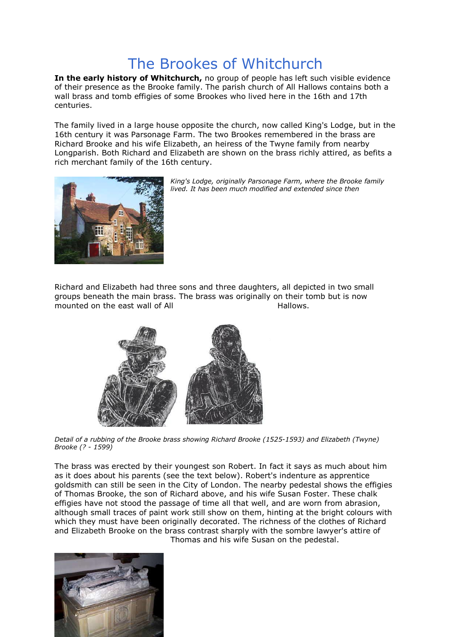## The Brookes of Whitchurch

In the early history of Whitchurch, no group of people has left such visible evidence of their presence as the Brooke family. The parish church of All Hallows contains both a wall brass and tomb effigies of some Brookes who lived here in the 16th and 17th centuries.

The family lived in a large house opposite the church, now called King's Lodge, but in the 16th century it was Parsonage Farm. The two Brookes remembered in the brass are Richard Brooke and his wife Elizabeth, an heiress of the Twyne family from nearby Longparish. Both Richard and Elizabeth are shown on the brass richly attired, as befits a rich merchant family of the 16th century.





Richard and Elizabeth had three sons and three daughters, all depicted in two small groups beneath the main brass. The brass was originally on their tomb but is now mounted on the east wall of All **Hallows**.



*Detail of a rubbing of the Brooke brass showing Richard Brooke (1525-1593) and Elizabeth (Twyne) Brooke (? - 1599)* 

The brass was erected by their youngest son Robert. In fact it says as much about him as it does about his parents (see the text below). Robert's indenture as apprentice goldsmith can still be seen in the City of London. The nearby pedestal shows the effigies of Thomas Brooke, the son of Richard above, and his wife Susan Foster. These chalk effigies have not stood the passage of time all that well, and are worn from abrasion, although small traces of paint work still show on them, hinting at the bright colours with which they must have been originally decorated. The richness of the clothes of Richard and Elizabeth Brooke on the brass contrast sharply with the sombre lawyer's attire of



Thomas and his wife Susan on the pedestal.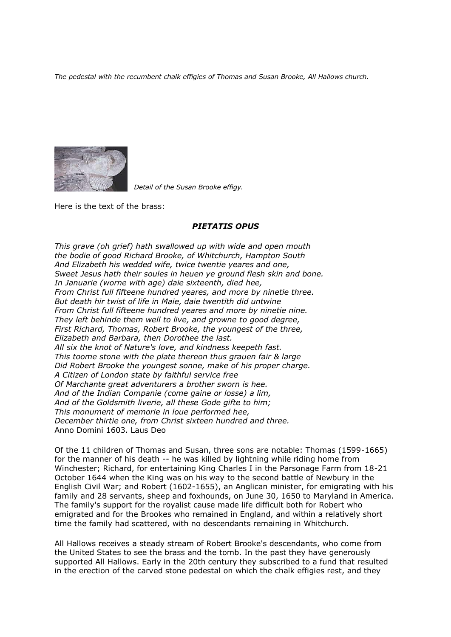*The pedestal with the recumbent chalk effigies of Thomas and Susan Brooke, All Hallows church.*



*Detail of the Susan Brooke effigy.*

Here is the text of the brass:

## *PIETATIS OPUS*

*This grave (oh grief) hath swallowed up with wide and open mouth the bodie of good Richard Brooke, of Whitchurch, Hampton South And Elizabeth his wedded wife, twice twentie yeares and one, Sweet Jesus hath their soules in heuen ye ground flesh skin and bone. In Januarie (worne with age) daie sixteenth, died hee, From Christ full fifteene hundred yeares, and more by ninetie three. But death hir twist of life in Maie, daie twentith did untwine From Christ full fifteene hundred yeares and more by ninetie nine. They left behinde them well to live, and growne to good degree, First Richard, Thomas, Robert Brooke, the youngest of the three, Elizabeth and Barbara, then Dorothee the last. All six the knot of Nature's love, and kindness keepeth fast. This toome stone with the plate thereon thus grauen fair & large Did Robert Brooke the youngest sonne, make of his proper charge. A Citizen of London state by faithful service free Of Marchante great adventurers a brother sworn is hee. And of the Indian Companie (come gaine or losse) a lim, And of the Goldsmith liverie, all these Gode gifte to him; This monument of memorie in loue performed hee, December thirtie one, from Christ sixteen hundred and three.* Anno Domini 1603. Laus Deo

Of the 11 children of Thomas and Susan, three sons are notable: Thomas (1599-1665) for the manner of his death -- he was killed by lightning while riding home from Winchester; Richard, for entertaining King Charles I in the Parsonage Farm from 18-21 October 1644 when the King was on his way to the second battle of Newbury in the English Civil War; and Robert (1602-1655), an Anglican minister, for emigrating with his family and 28 servants, sheep and foxhounds, on June 30, 1650 to Maryland in America. The family's support for the royalist cause made life difficult both for Robert who emigrated and for the Brookes who remained in England, and within a relatively short time the family had scattered, with no descendants remaining in Whitchurch.

All Hallows receives a steady stream of Robert Brooke's descendants, who come from the United States to see the brass and the tomb. In the past they have generously supported All Hallows. Early in the 20th century they subscribed to a fund that resulted in the erection of the carved stone pedestal on which the chalk effigies rest, and they